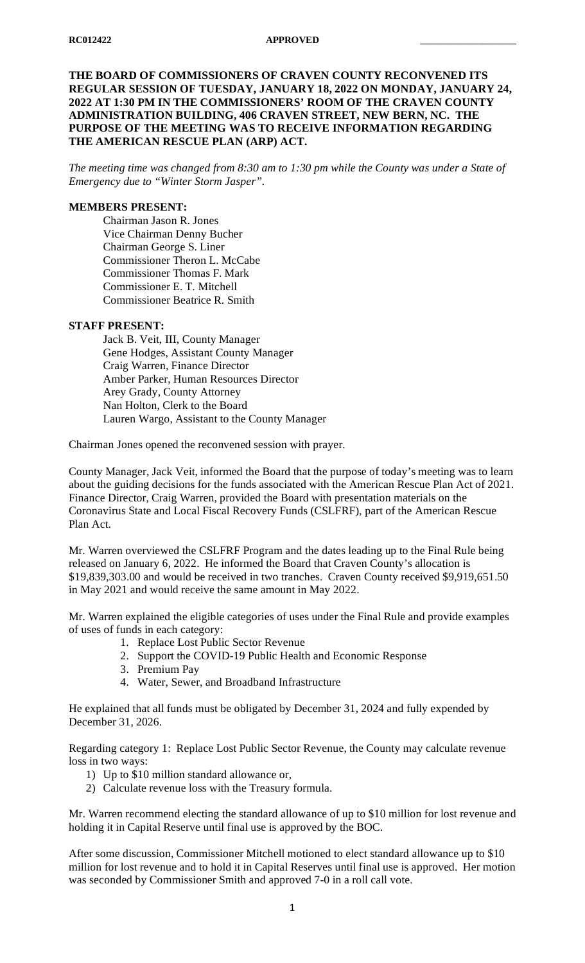### **THE BOARD OF COMMISSIONERS OF CRAVEN COUNTY RECONVENED ITS REGULAR SESSION OF TUESDAY, JANUARY 18, 2022 ON MONDAY, JANUARY 24, 2022 AT 1:30 PM IN THE COMMISSIONERS' ROOM OF THE CRAVEN COUNTY ADMINISTRATION BUILDING, 406 CRAVEN STREET, NEW BERN, NC. THE PURPOSE OF THE MEETING WAS TO RECEIVE INFORMATION REGARDING THE AMERICAN RESCUE PLAN (ARP) ACT.**

*The meeting time was changed from 8:30 am to 1:30 pm while the County was under a State of Emergency due to "Winter Storm Jasper".*

# **MEMBERS PRESENT:**

Chairman Jason R. Jones Vice Chairman Denny Bucher Chairman George S. Liner Commissioner Theron L. McCabe Commissioner Thomas F. Mark Commissioner E. T. Mitchell Commissioner Beatrice R. Smith

### **STAFF PRESENT:**

Jack B. Veit, III, County Manager Gene Hodges, Assistant County Manager Craig Warren, Finance Director Amber Parker, Human Resources Director Arey Grady, County Attorney Nan Holton, Clerk to the Board Lauren Wargo, Assistant to the County Manager

Chairman Jones opened the reconvened session with prayer.

County Manager, Jack Veit, informed the Board that the purpose of today's meeting was to learn about the guiding decisions for the funds associated with the American Rescue Plan Act of 2021. Finance Director, Craig Warren, provided the Board with presentation materials on the Coronavirus State and Local Fiscal Recovery Funds (CSLFRF), part of the American Rescue Plan Act.

Mr. Warren overviewed the CSLFRF Program and the dates leading up to the Final Rule being released on January 6, 2022. He informed the Board that Craven County's allocation is \$19,839,303.00 and would be received in two tranches. Craven County received \$9,919,651.50 in May 2021 and would receive the same amount in May 2022.

Mr. Warren explained the eligible categories of uses under the Final Rule and provide examples of uses of funds in each category:

- 1. Replace Lost Public Sector Revenue
- 2. Support the COVID-19 Public Health and Economic Response
- 3. Premium Pay
- 4. Water, Sewer, and Broadband Infrastructure

He explained that all funds must be obligated by December 31, 2024 and fully expended by December 31, 2026.

Regarding category 1: Replace Lost Public Sector Revenue, the County may calculate revenue loss in two ways:

- 1) Up to \$10 million standard allowance or,
- 2) Calculate revenue loss with the Treasury formula.

Mr. Warren recommend electing the standard allowance of up to \$10 million for lost revenue and holding it in Capital Reserve until final use is approved by the BOC.

After some discussion, Commissioner Mitchell motioned to elect standard allowance up to \$10 million for lost revenue and to hold it in Capital Reserves until final use is approved. Her motion was seconded by Commissioner Smith and approved 7-0 in a roll call vote.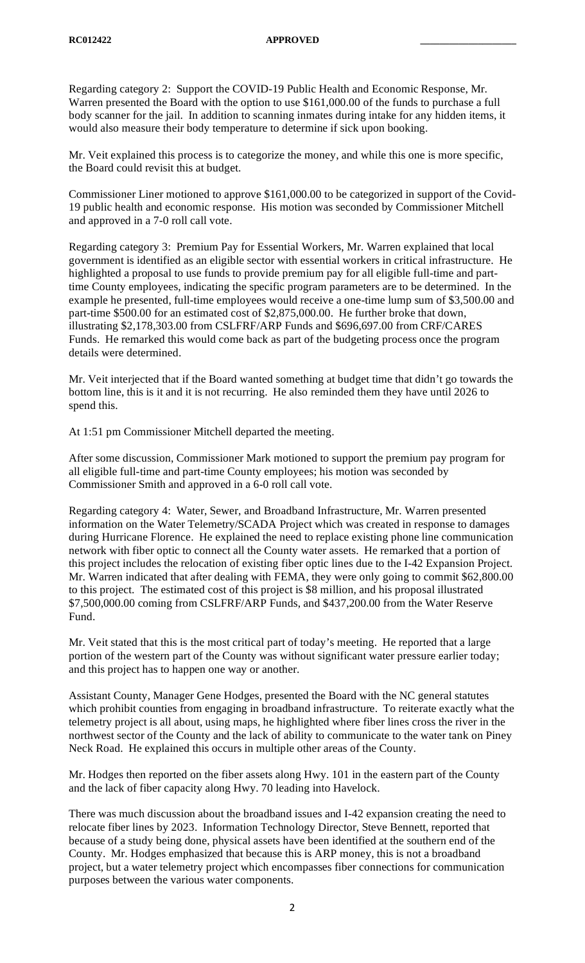Regarding category 2: Support the COVID-19 Public Health and Economic Response, Mr. Warren presented the Board with the option to use \$161,000.00 of the funds to purchase a full body scanner for the jail. In addition to scanning inmates during intake for any hidden items, it would also measure their body temperature to determine if sick upon booking.

Mr. Veit explained this process is to categorize the money, and while this one is more specific, the Board could revisit this at budget.

Commissioner Liner motioned to approve \$161,000.00 to be categorized in support of the Covid-19 public health and economic response. His motion was seconded by Commissioner Mitchell and approved in a 7-0 roll call vote.

Regarding category 3: Premium Pay for Essential Workers, Mr. Warren explained that local government is identified as an eligible sector with essential workers in critical infrastructure. He highlighted a proposal to use funds to provide premium pay for all eligible full-time and parttime County employees, indicating the specific program parameters are to be determined. In the example he presented, full-time employees would receive a one-time lump sum of \$3,500.00 and part-time \$500.00 for an estimated cost of \$2,875,000.00. He further broke that down, illustrating \$2,178,303.00 from CSLFRF/ARP Funds and \$696,697.00 from CRF/CARES Funds. He remarked this would come back as part of the budgeting process once the program details were determined.

Mr. Veit interjected that if the Board wanted something at budget time that didn't go towards the bottom line, this is it and it is not recurring. He also reminded them they have until 2026 to spend this.

At 1:51 pm Commissioner Mitchell departed the meeting.

After some discussion, Commissioner Mark motioned to support the premium pay program for all eligible full-time and part-time County employees; his motion was seconded by Commissioner Smith and approved in a 6-0 roll call vote.

Regarding category 4: Water, Sewer, and Broadband Infrastructure, Mr. Warren presented information on the Water Telemetry/SCADA Project which was created in response to damages during Hurricane Florence. He explained the need to replace existing phone line communication network with fiber optic to connect all the County water assets. He remarked that a portion of this project includes the relocation of existing fiber optic lines due to the I-42 Expansion Project. Mr. Warren indicated that after dealing with FEMA, they were only going to commit \$62,800.00 to this project. The estimated cost of this project is \$8 million, and his proposal illustrated \$7,500,000.00 coming from CSLFRF/ARP Funds, and \$437,200.00 from the Water Reserve Fund.

Mr. Veit stated that this is the most critical part of today's meeting. He reported that a large portion of the western part of the County was without significant water pressure earlier today; and this project has to happen one way or another.

Assistant County, Manager Gene Hodges, presented the Board with the NC general statutes which prohibit counties from engaging in broadband infrastructure. To reiterate exactly what the telemetry project is all about, using maps, he highlighted where fiber lines cross the river in the northwest sector of the County and the lack of ability to communicate to the water tank on Piney Neck Road. He explained this occurs in multiple other areas of the County.

Mr. Hodges then reported on the fiber assets along Hwy. 101 in the eastern part of the County and the lack of fiber capacity along Hwy. 70 leading into Havelock.

There was much discussion about the broadband issues and I-42 expansion creating the need to relocate fiber lines by 2023. Information Technology Director, Steve Bennett, reported that because of a study being done, physical assets have been identified at the southern end of the County. Mr. Hodges emphasized that because this is ARP money, this is not a broadband project, but a water telemetry project which encompasses fiber connections for communication purposes between the various water components.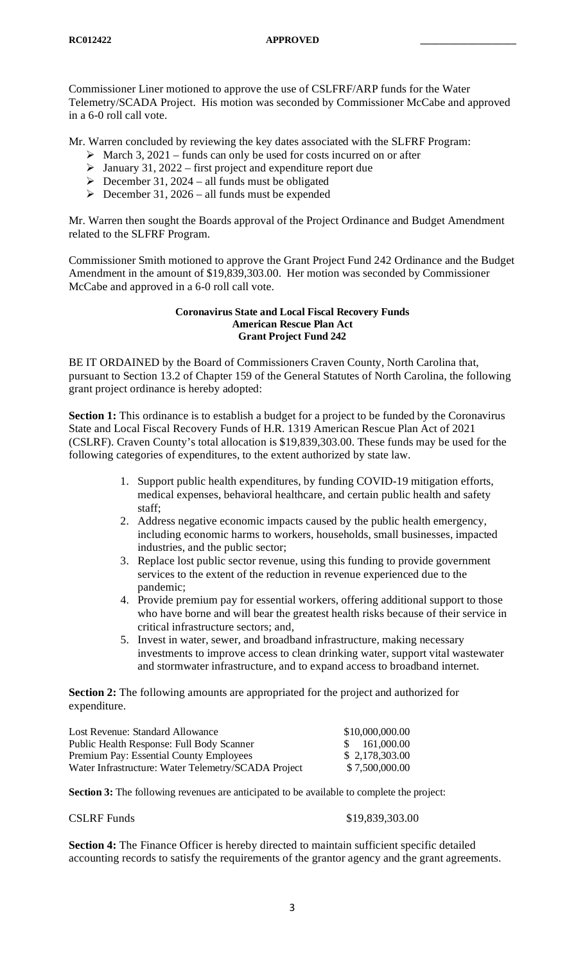Commissioner Liner motioned to approve the use of CSLFRF/ARP funds for the Water Telemetry/SCADA Project. His motion was seconded by Commissioner McCabe and approved in a 6-0 roll call vote.

Mr. Warren concluded by reviewing the key dates associated with the SLFRF Program:

- $\triangleright$  March 3, 2021 funds can only be used for costs incurred on or after
- $\triangleright$  January 31, 2022 first project and expenditure report due
- $\triangleright$  December 31, 2024 all funds must be obligated
- $\triangleright$  December 31, 2026 all funds must be expended

Mr. Warren then sought the Boards approval of the Project Ordinance and Budget Amendment related to the SLFRF Program.

Commissioner Smith motioned to approve the Grant Project Fund 242 Ordinance and the Budget Amendment in the amount of \$19,839,303.00. Her motion was seconded by Commissioner McCabe and approved in a 6-0 roll call vote.

#### **Coronavirus State and Local Fiscal Recovery Funds American Rescue Plan Act Grant Project Fund 242**

BE IT ORDAINED by the Board of Commissioners Craven County, North Carolina that, pursuant to Section 13.2 of Chapter 159 of the General Statutes of North Carolina, the following grant project ordinance is hereby adopted:

**Section 1:** This ordinance is to establish a budget for a project to be funded by the Coronavirus State and Local Fiscal Recovery Funds of H.R. 1319 American Rescue Plan Act of 2021 (CSLRF). Craven County's total allocation is \$19,839,303.00. These funds may be used for the following categories of expenditures, to the extent authorized by state law.

- 1. Support public health expenditures, by funding COVID-19 mitigation efforts, medical expenses, behavioral healthcare, and certain public health and safety staff;
- 2. Address negative economic impacts caused by the public health emergency, including economic harms to workers, households, small businesses, impacted industries, and the public sector;
- 3. Replace lost public sector revenue, using this funding to provide government services to the extent of the reduction in revenue experienced due to the pandemic;
- 4. Provide premium pay for essential workers, offering additional support to those who have borne and will bear the greatest health risks because of their service in critical infrastructure sectors; and,
- 5. Invest in water, sewer, and broadband infrastructure, making necessary investments to improve access to clean drinking water, support vital wastewater and stormwater infrastructure, and to expand access to broadband internet.

**Section 2:** The following amounts are appropriated for the project and authorized for expenditure.

| Lost Revenue: Standard Allowance                    | \$10,000,000.00 |
|-----------------------------------------------------|-----------------|
| Public Health Response: Full Body Scanner           | \$161,000.00    |
| Premium Pay: Essential County Employees             | \$2,178,303.00  |
| Water Infrastructure: Water Telemetry/SCADA Project | \$7,500,000.00  |

**Section 3:** The following revenues are anticipated to be available to complete the project:

CSLRF Funds \$19,839,303.00

**Section 4:** The Finance Officer is hereby directed to maintain sufficient specific detailed accounting records to satisfy the requirements of the grantor agency and the grant agreements.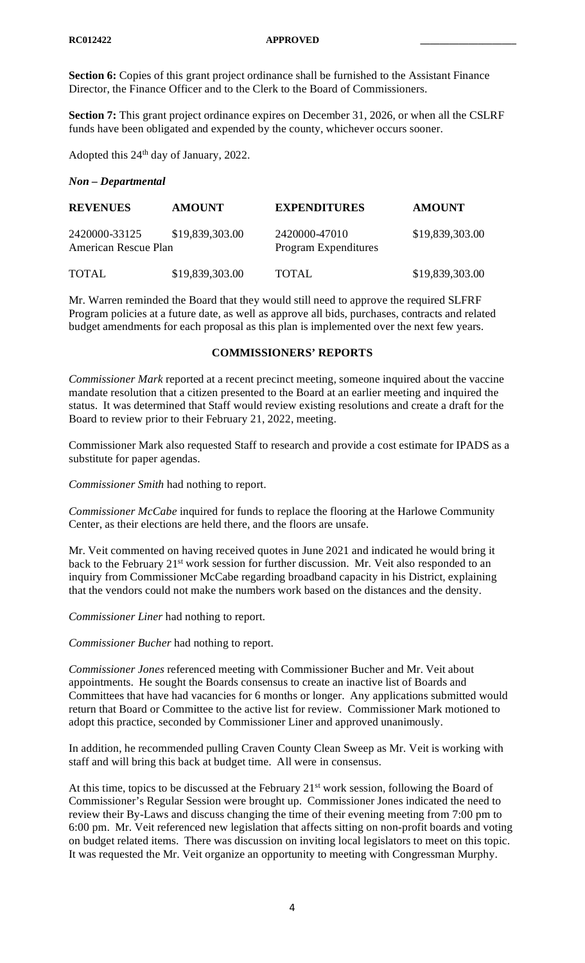**Section 6:** Copies of this grant project ordinance shall be furnished to the Assistant Finance Director, the Finance Officer and to the Clerk to the Board of Commissioners.

**Section 7:** This grant project ordinance expires on December 31, 2026, or when all the CSLRF funds have been obligated and expended by the county, whichever occurs sooner.

Adopted this 24<sup>th</sup> day of January, 2022.

### *Non – Departmental*

| <b>REVENUES</b>                       | <b>AMOUNT</b>   | <b>EXPENDITURES</b>                          | <b>AMOUNT</b>   |
|---------------------------------------|-----------------|----------------------------------------------|-----------------|
| 2420000-33125<br>American Rescue Plan | \$19,839,303.00 | 2420000-47010<br><b>Program Expenditures</b> | \$19,839,303.00 |
| <b>TOTAL</b>                          | \$19,839,303.00 | <b>TOTAL</b>                                 | \$19,839,303.00 |

Mr. Warren reminded the Board that they would still need to approve the required SLFRF Program policies at a future date, as well as approve all bids, purchases, contracts and related budget amendments for each proposal as this plan is implemented over the next few years.

## **COMMISSIONERS' REPORTS**

*Commissioner Mark* reported at a recent precinct meeting, someone inquired about the vaccine mandate resolution that a citizen presented to the Board at an earlier meeting and inquired the status. It was determined that Staff would review existing resolutions and create a draft for the Board to review prior to their February 21, 2022, meeting.

Commissioner Mark also requested Staff to research and provide a cost estimate for IPADS as a substitute for paper agendas.

*Commissioner Smith* had nothing to report.

*Commissioner McCabe* inquired for funds to replace the flooring at the Harlowe Community Center, as their elections are held there, and the floors are unsafe.

Mr. Veit commented on having received quotes in June 2021 and indicated he would bring it back to the February 21<sup>st</sup> work session for further discussion. Mr. Veit also responded to an inquiry from Commissioner McCabe regarding broadband capacity in his District, explaining that the vendors could not make the numbers work based on the distances and the density.

*Commissioner Liner* had nothing to report.

*Commissioner Bucher* had nothing to report.

*Commissioner Jones* referenced meeting with Commissioner Bucher and Mr. Veit about appointments. He sought the Boards consensus to create an inactive list of Boards and Committees that have had vacancies for 6 months or longer. Any applications submitted would return that Board or Committee to the active list for review. Commissioner Mark motioned to adopt this practice, seconded by Commissioner Liner and approved unanimously.

In addition, he recommended pulling Craven County Clean Sweep as Mr. Veit is working with staff and will bring this back at budget time. All were in consensus.

At this time, topics to be discussed at the February 21<sup>st</sup> work session, following the Board of Commissioner's Regular Session were brought up. Commissioner Jones indicated the need to review their By-Laws and discuss changing the time of their evening meeting from 7:00 pm to 6:00 pm. Mr. Veit referenced new legislation that affects sitting on non-profit boards and voting on budget related items. There was discussion on inviting local legislators to meet on this topic. It was requested the Mr. Veit organize an opportunity to meeting with Congressman Murphy.